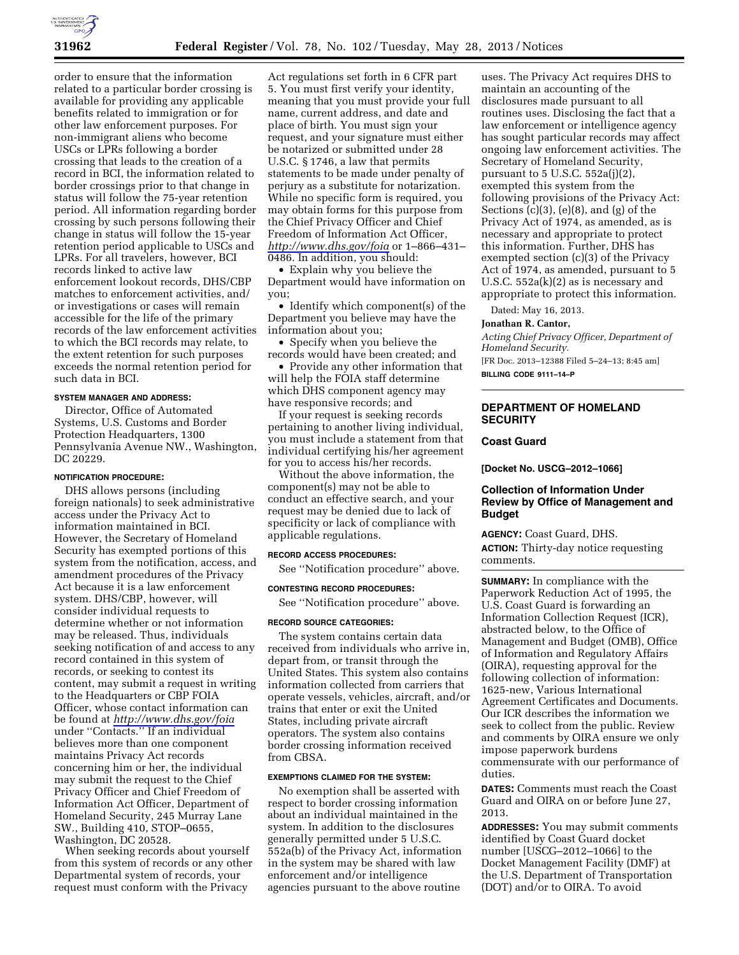

order to ensure that the information related to a particular border crossing is available for providing any applicable benefits related to immigration or for other law enforcement purposes. For non-immigrant aliens who become USCs or LPRs following a border crossing that leads to the creation of a record in BCI, the information related to border crossings prior to that change in status will follow the 75-year retention period. All information regarding border crossing by such persons following their change in status will follow the 15-year retention period applicable to USCs and LPRs. For all travelers, however, BCI records linked to active law enforcement lookout records, DHS/CBP matches to enforcement activities, and/ or investigations or cases will remain accessible for the life of the primary records of the law enforcement activities to which the BCI records may relate, to the extent retention for such purposes exceeds the normal retention period for such data in BCI.

### **SYSTEM MANAGER AND ADDRESS:**

Director, Office of Automated Systems, U.S. Customs and Border Protection Headquarters, 1300 Pennsylvania Avenue NW., Washington, DC 20229.

### **NOTIFICATION PROCEDURE:**

DHS allows persons (including foreign nationals) to seek administrative access under the Privacy Act to information maintained in BCI. However, the Secretary of Homeland Security has exempted portions of this system from the notification, access, and amendment procedures of the Privacy Act because it is a law enforcement system. DHS/CBP, however, will consider individual requests to determine whether or not information may be released. Thus, individuals seeking notification of and access to any record contained in this system of records, or seeking to contest its content, may submit a request in writing to the Headquarters or CBP FOIA Officer, whose contact information can be found at *<http://www.dhs.gov/foia>*  under ''Contacts.'' If an individual believes more than one component maintains Privacy Act records concerning him or her, the individual may submit the request to the Chief Privacy Officer and Chief Freedom of Information Act Officer, Department of Homeland Security, 245 Murray Lane SW., Building 410, STOP–0655, Washington, DC 20528.

When seeking records about yourself from this system of records or any other Departmental system of records, your request must conform with the Privacy

Act regulations set forth in 6 CFR part 5. You must first verify your identity, meaning that you must provide your full name, current address, and date and place of birth. You must sign your request, and your signature must either be notarized or submitted under 28 U.S.C. § 1746, a law that permits statements to be made under penalty of perjury as a substitute for notarization. While no specific form is required, you may obtain forms for this purpose from the Chief Privacy Officer and Chief Freedom of Information Act Officer, *<http://www.dhs.gov/foia>*or 1–866–431– 0486. In addition, you should:

• Explain why you believe the Department would have information on you;

• Identify which component(s) of the Department you believe may have the information about you;

• Specify when you believe the records would have been created; and

• Provide any other information that will help the FOIA staff determine which DHS component agency may have responsive records; and

If your request is seeking records pertaining to another living individual, you must include a statement from that individual certifying his/her agreement for you to access his/her records.

Without the above information, the component(s) may not be able to conduct an effective search, and your request may be denied due to lack of specificity or lack of compliance with applicable regulations.

### **RECORD ACCESS PROCEDURES:**

See ''Notification procedure'' above.

## **CONTESTING RECORD PROCEDURES:**

See ''Notification procedure'' above.

#### **RECORD SOURCE CATEGORIES:**

The system contains certain data received from individuals who arrive in, depart from, or transit through the United States. This system also contains information collected from carriers that operate vessels, vehicles, aircraft, and/or trains that enter or exit the United States, including private aircraft operators. The system also contains border crossing information received from CBSA.

### **EXEMPTIONS CLAIMED FOR THE SYSTEM:**

No exemption shall be asserted with respect to border crossing information about an individual maintained in the system. In addition to the disclosures generally permitted under 5 U.S.C. 552a(b) of the Privacy Act, information in the system may be shared with law enforcement and/or intelligence agencies pursuant to the above routine

uses. The Privacy Act requires DHS to maintain an accounting of the disclosures made pursuant to all routines uses. Disclosing the fact that a law enforcement or intelligence agency has sought particular records may affect ongoing law enforcement activities. The Secretary of Homeland Security, pursuant to 5 U.S.C. 552a(j)(2), exempted this system from the following provisions of the Privacy Act: Sections  $(c)(3)$ ,  $(e)(8)$ , and  $(g)$  of the Privacy Act of 1974, as amended, as is necessary and appropriate to protect this information. Further, DHS has exempted section (c)(3) of the Privacy Act of 1974, as amended, pursuant to 5 U.S.C. 552a(k)(2) as is necessary and appropriate to protect this information.

Dated: May 16, 2013.

#### **Jonathan R. Cantor,**

*Acting Chief Privacy Officer, Department of Homeland Security.* 

[FR Doc. 2013–12388 Filed 5–24–13; 8:45 am] **BILLING CODE 9111–14–P** 

# **DEPARTMENT OF HOMELAND SECURITY**

## **Coast Guard**

**[Docket No. USCG–2012–1066]** 

# **Collection of Information Under Review by Office of Management and Budget**

**AGENCY:** Coast Guard, DHS. **ACTION:** Thirty-day notice requesting comments.

**SUMMARY:** In compliance with the Paperwork Reduction Act of 1995, the U.S. Coast Guard is forwarding an Information Collection Request (ICR), abstracted below, to the Office of Management and Budget (OMB), Office of Information and Regulatory Affairs (OIRA), requesting approval for the following collection of information: 1625-new, Various International Agreement Certificates and Documents. Our ICR describes the information we seek to collect from the public. Review and comments by OIRA ensure we only impose paperwork burdens commensurate with our performance of duties.

**DATES:** Comments must reach the Coast Guard and OIRA on or before June 27, 2013.

**ADDRESSES:** You may submit comments identified by Coast Guard docket number [USCG–2012–1066] to the Docket Management Facility (DMF) at the U.S. Department of Transportation (DOT) and/or to OIRA. To avoid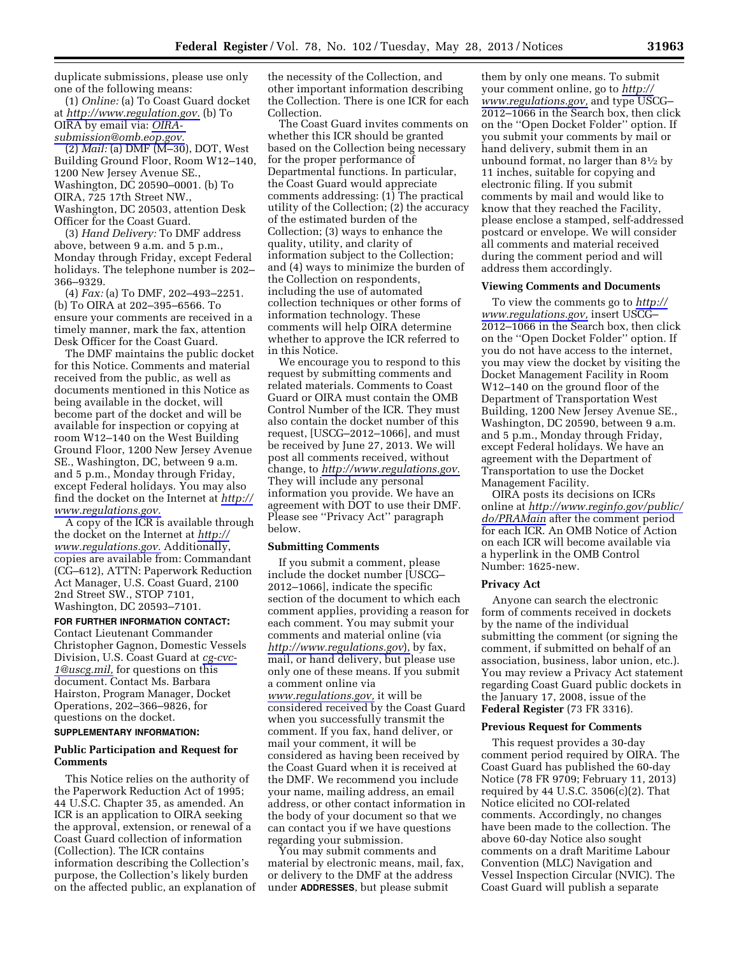duplicate submissions, please use only one of the following means:

(1) *Online:* (a) To Coast Guard docket at *[http://www.regulation.gov.](http://www.regulation.gov)* (b) To OIRA by email via: *[OIRA](mailto:OIRA-submission@omb.eop.gov)[submission@omb.eop.gov.](mailto:OIRA-submission@omb.eop.gov)* 

(2) *Mail:* (a) DMF (M–30), DOT, West Building Ground Floor, Room W12–140, 1200 New Jersey Avenue SE., Washington, DC 20590–0001. (b) To OIRA, 725 17th Street NW., Washington, DC 20503, attention Desk Officer for the Coast Guard.

(3) *Hand Delivery:* To DMF address above, between 9 a.m. and 5 p.m., Monday through Friday, except Federal holidays. The telephone number is 202– 366–9329.

(4) *Fax:* (a) To DMF, 202–493–2251. (b) To OIRA at 202–395–6566. To ensure your comments are received in a timely manner, mark the fax, attention Desk Officer for the Coast Guard.

The DMF maintains the public docket for this Notice. Comments and material received from the public, as well as documents mentioned in this Notice as being available in the docket, will become part of the docket and will be available for inspection or copying at room W12–140 on the West Building Ground Floor, 1200 New Jersey Avenue SE., Washington, DC, between 9 a.m. and 5 p.m., Monday through Friday, except Federal holidays. You may also find the docket on the Internet at *[http://](http://www.regulations.gov)  [www.regulations.gov.](http://www.regulations.gov)* 

A copy of the ICR is available through the docket on the Internet at *[http://](http://www.regulations.gov) [www.regulations.gov.](http://www.regulations.gov)* Additionally, copies are available from: Commandant (CG–612), ATTN: Paperwork Reduction Act Manager, U.S. Coast Guard, 2100 2nd Street SW., STOP 7101, Washington, DC 20593–7101.

## **FOR FURTHER INFORMATION CONTACT:**  Contact Lieutenant Commander

Christopher Gagnon, Domestic Vessels Division, U.S. Coast Guard at *[cg-cvc-](mailto:cg-cvc-1@uscg.mil)[1@uscg.mil,](mailto:cg-cvc-1@uscg.mil)* for questions on this document. Contact Ms. Barbara Hairston, Program Manager, Docket Operations, 202–366–9826, for questions on the docket.

# **SUPPLEMENTARY INFORMATION:**

## **Public Participation and Request for Comments**

This Notice relies on the authority of the Paperwork Reduction Act of 1995; 44 U.S.C. Chapter 35, as amended. An ICR is an application to OIRA seeking the approval, extension, or renewal of a Coast Guard collection of information (Collection). The ICR contains information describing the Collection's purpose, the Collection's likely burden on the affected public, an explanation of

the necessity of the Collection, and other important information describing the Collection. There is one ICR for each Collection.

The Coast Guard invites comments on whether this ICR should be granted based on the Collection being necessary for the proper performance of Departmental functions. In particular, the Coast Guard would appreciate comments addressing: (1) The practical utility of the Collection; (2) the accuracy of the estimated burden of the Collection; (3) ways to enhance the quality, utility, and clarity of information subject to the Collection; and (4) ways to minimize the burden of the Collection on respondents, including the use of automated collection techniques or other forms of information technology. These comments will help OIRA determine whether to approve the ICR referred to in this Notice.

We encourage you to respond to this request by submitting comments and related materials. Comments to Coast Guard or OIRA must contain the OMB Control Number of the ICR. They must also contain the docket number of this request, [USCG–2012–1066], and must be received by June 27, 2013. We will post all comments received, without change, to *[http://www.regulations.gov.](http://www.regulations.gov)*  They will include any personal information you provide. We have an agreement with DOT to use their DMF. Please see ''Privacy Act'' paragraph below.

#### **Submitting Comments**

If you submit a comment, please include the docket number [USCG– 2012–1066], indicate the specific section of the document to which each comment applies, providing a reason for each comment. You may submit your comments and material online (via *<http://www.regulations.gov>*), by fax, mail, or hand delivery, but please use only one of these means. If you submit a comment online via *[www.regulations.gov,](http://www.regulations.gov)* it will be considered received by the Coast Guard when you successfully transmit the comment. If you fax, hand deliver, or mail your comment, it will be considered as having been received by the Coast Guard when it is received at the DMF. We recommend you include your name, mailing address, an email address, or other contact information in the body of your document so that we can contact you if we have questions regarding your submission.

You may submit comments and material by electronic means, mail, fax, or delivery to the DMF at the address under **ADDRESSES**, but please submit

them by only one means. To submit your comment online, go to *[http://](http://www.regulations.gov)  [www.regulations.gov,](http://www.regulations.gov)* and type USCG– 2012–1066 in the Search box, then click on the ''Open Docket Folder'' option. If you submit your comments by mail or hand delivery, submit them in an unbound format, no larger than 81⁄2 by 11 inches, suitable for copying and electronic filing. If you submit comments by mail and would like to know that they reached the Facility, please enclose a stamped, self-addressed postcard or envelope. We will consider all comments and material received during the comment period and will address them accordingly.

#### **Viewing Comments and Documents**

To view the comments go to *[http://](http://www.regulations.gov) [www.regulations.gov,](http://www.regulations.gov)* insert USCG– 2012–1066 in the Search box, then click on the ''Open Docket Folder'' option. If you do not have access to the internet, you may view the docket by visiting the Docket Management Facility in Room W12–140 on the ground floor of the Department of Transportation West Building, 1200 New Jersey Avenue SE., Washington, DC 20590, between 9 a.m. and 5 p.m., Monday through Friday, except Federal holidays. We have an agreement with the Department of Transportation to use the Docket Management Facility.

OIRA posts its decisions on ICRs online at *[http://www.reginfo.gov/public/](http://www.reginfo.gov/public/do/PRAMain) [do/PRAMain](http://www.reginfo.gov/public/do/PRAMain)* after the comment period for each ICR. An OMB Notice of Action on each ICR will become available via a hyperlink in the OMB Control Number: 1625-new.

#### **Privacy Act**

Anyone can search the electronic form of comments received in dockets by the name of the individual submitting the comment (or signing the comment, if submitted on behalf of an association, business, labor union, etc.). You may review a Privacy Act statement regarding Coast Guard public dockets in the January 17, 2008, issue of the **Federal Register** (73 FR 3316).

### **Previous Request for Comments**

This request provides a 30-day comment period required by OIRA. The Coast Guard has published the 60-day Notice (78 FR 9709; February 11, 2013) required by 44 U.S.C. 3506(c)(2). That Notice elicited no COI-related comments. Accordingly, no changes have been made to the collection. The above 60-day Notice also sought comments on a draft Maritime Labour Convention (MLC) Navigation and Vessel Inspection Circular (NVIC). The Coast Guard will publish a separate